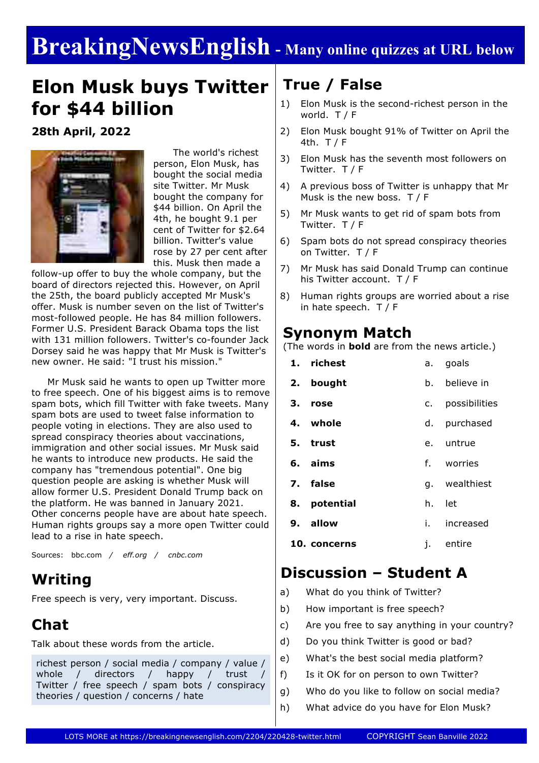# **BreakingNewsEnglish - Many online quizzes at URL below**

# **Elon Musk buys Twitter for \$44 billion**

**28th April, 2022**



 The world's richest person, Elon Musk, has bought the social media site Twitter. Mr Musk bought the company for \$44 billion. On April the 4th, he bought 9.1 per cent of Twitter for \$2.64 billion. Twitter's value rose by 27 per cent after this. Musk then made a

follow-up offer to buy the whole company, but the board of directors rejected this. However, on April the 25th, the board publicly accepted Mr Musk's offer. Musk is number seven on the list of Twitter's most-followed people. He has 84 million followers. Former U.S. President Barack Obama tops the list with 131 million followers. Twitter's co-founder Jack Dorsey said he was happy that Mr Musk is Twitter's new owner. He said: "I trust his mission."

 Mr Musk said he wants to open up Twitter more to free speech. One of his biggest aims is to remove spam bots, which fill Twitter with fake tweets. Many spam bots are used to tweet false information to people voting in elections. They are also used to spread conspiracy theories about vaccinations, immigration and other social issues. Mr Musk said he wants to introduce new products. He said the company has "tremendous potential". One big question people are asking is whether Musk will allow former U.S. President Donald Trump back on the platform. He was banned in January 2021. Other concerns people have are about hate speech. Human rights groups say a more open Twitter could lead to a rise in hate speech.

Sources: bbc.com */ eff.org / cnbc.com*

### **Writing**

Free speech is very, very important. Discuss.

### **Chat**

Talk about these words from the article.

richest person / social media / company / value / whole / directors / happy / trust / Twitter / free speech / spam bots / conspiracy theories / question / concerns / hate

## **True / False**

- 1) Elon Musk is the second-richest person in the world. T / F
- 2) Elon Musk bought 91% of Twitter on April the 4th. T / F
- 3) Elon Musk has the seventh most followers on Twitter. T / F
- 4) A previous boss of Twitter is unhappy that Mr Musk is the new boss. T / F
- 5) Mr Musk wants to get rid of spam bots from Twitter. T / F
- 6) Spam bots do not spread conspiracy theories on Twitter. T / F
- 7) Mr Musk has said Donald Trump can continue his Twitter account. T / F
- 8) Human rights groups are worried about a rise in hate speech. T / F

#### **Synonym Match**

(The words in **bold** are from the news article.)

|    | 1. richest          | а. – | goals         |  |  |  |
|----|---------------------|------|---------------|--|--|--|
|    | 2. bought           | b.   | believe in    |  |  |  |
| З. | rose                | c.   | possibilities |  |  |  |
|    | 4. whole            | d.   | purchased     |  |  |  |
|    | 5. trust            | e.   | untrue        |  |  |  |
|    | 6. aims             |      | f. worries    |  |  |  |
|    | 7. false            |      | g. wealthiest |  |  |  |
|    | 8. potential        |      | h. let        |  |  |  |
|    | 9. allow            | i.   | increased     |  |  |  |
|    | <b>10. concerns</b> | j.   | entire        |  |  |  |

### **Discussion – Student A**

- a) What do you think of Twitter?
- b) How important is free speech?
- c) Are you free to say anything in your country?
- d) Do you think Twitter is good or bad?
- e) What's the best social media platform?
- f) Is it OK for on person to own Twitter?
- g) Who do you like to follow on social media?
- h) What advice do you have for Elon Musk?